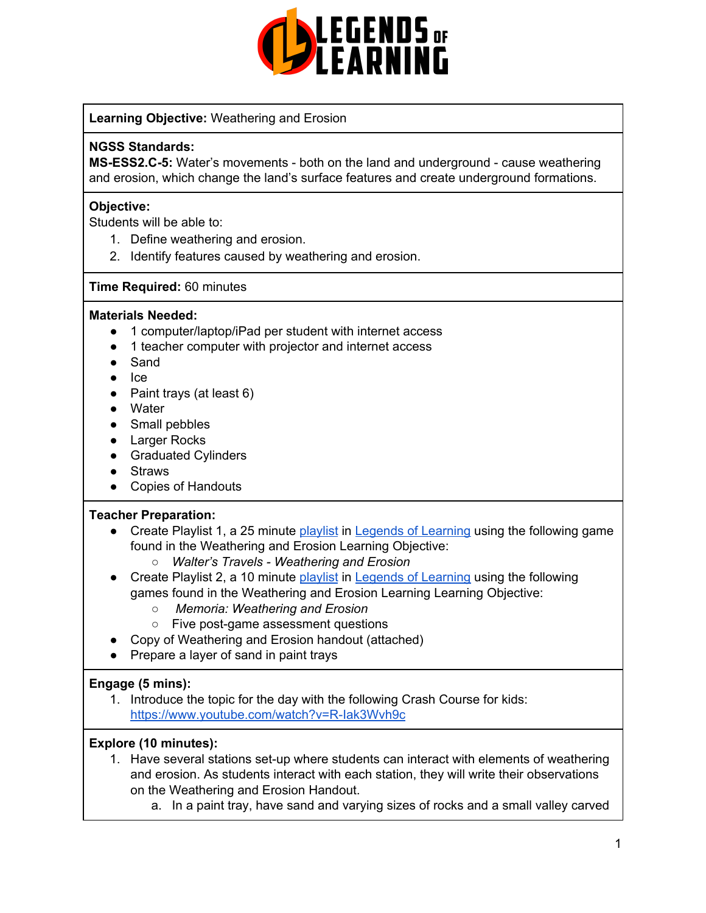

### **Learning Objective:** Weathering and Erosion

#### **NGSS Standards:**

**MS-ESS2.C-5:** Water's movements - both on the land and underground - cause weathering and erosion, which change the land's surface features and create underground formations.

### **Objective:**

Students will be able to:

- 1. Define weathering and erosion.
- 2. Identify features caused by weathering and erosion.

#### **Time Required:** 60 minutes

#### **Materials Needed:**

- 1 computer/laptop/iPad per student with internet access
- 1 teacher computer with projector and internet access
- Sand
- Ice
- Paint trays (at least 6)
- Water
- Small pebbles
- Larger Rocks
- Graduated Cylinders
- Straws
- Copies of Handouts

#### **Teacher Preparation:**

- Create Playlist 1, a 25 minute [playlist](https://lol.desk.com/customer/en/portal/articles/2822815-creating-multiple-playlists) in Legends of [Learning](https://teachers.legendsoflearning.com/sign-in) using the following game found in the Weathering and Erosion Learning Objective:
	- *○ Walter's Travels - Weathering and Erosion*
- Create Playlist 2, a 10 minute [playlist](https://lol.desk.com/customer/en/portal/articles/2822815-creating-multiple-playlists) in Legends of [Learning](https://teachers.legendsoflearning.com/sign-in) using the following games found in the Weathering and Erosion Learning Learning Objective:
	- *Memoria: Weathering and Erosion*
	- Five post-game assessment questions
- Copy of Weathering and Erosion handout (attached)
- Prepare a layer of sand in paint trays

#### **Engage (5 mins):**

1. Introduce the topic for the day with the following Crash Course for kids: <https://www.youtube.com/watch?v=R-Iak3Wvh9c>

#### **Explore (10 minutes):**

- 1. Have several stations set-up where students can interact with elements of weathering and erosion. As students interact with each station, they will write their observations on the Weathering and Erosion Handout.
	- a. In a paint tray, have sand and varying sizes of rocks and a small valley carved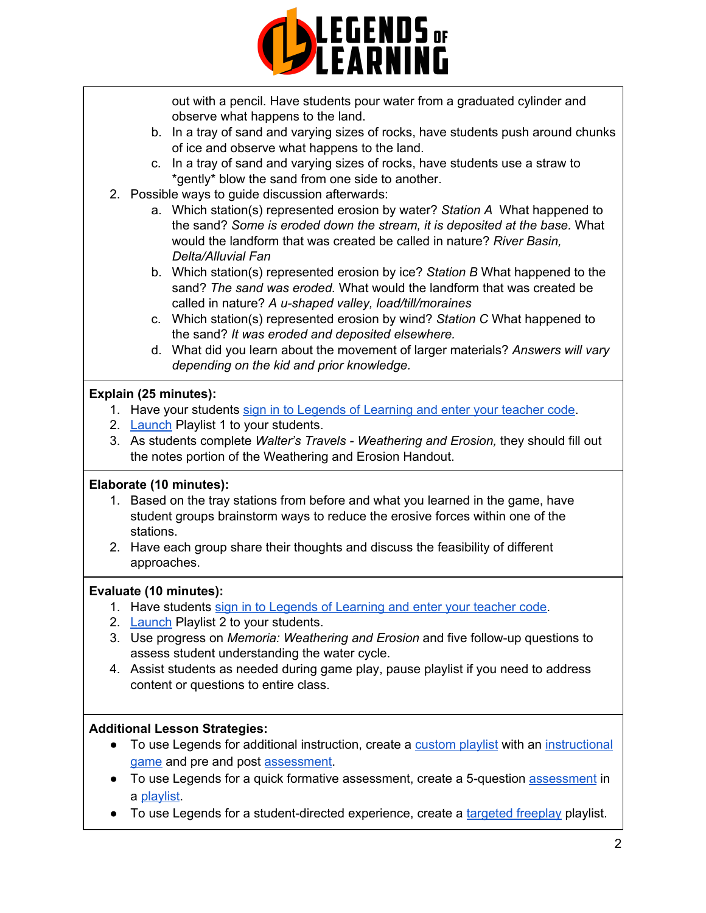

out with a pencil. Have students pour water from a graduated cylinder and observe what happens to the land.

- b. In a tray of sand and varying sizes of rocks, have students push around chunks of ice and observe what happens to the land.
- c. In a tray of sand and varying sizes of rocks, have students use a straw to \*gently\* blow the sand from one side to another.
- 2. Possible ways to guide discussion afterwards:
	- a. Which station(s) represented erosion by water? *Station A* What happened to the sand? *Some is eroded down the stream, it is deposited at the base.* What would the landform that was created be called in nature? *River Basin, Delta/Alluvial Fan*
	- b. Which station(s) represented erosion by ice? *Station B* What happened to the sand? *The sand was eroded.* What would the landform that was created be called in nature? *A u-shaped valley, load/till/moraines*
	- c. Which station(s) represented erosion by wind? *Station C* What happened to the sand? *It was eroded and deposited elsewhere.*
	- d. What did you learn about the movement of larger materials? *Answers will vary depending on the kid and prior knowledge.*

## **Explain (25 minutes):**

- 1. Have your students sign in to Legends of [Learning](https://lol.desk.com/customer/en/portal/articles/2809984-students-joining-a-playlist) and enter your teacher code.
- 2. [Launch](https://lol.desk.com/customer/en/portal/articles/2822815-creating-multiple-playlists) Playlist 1 to your students.
- 3. As students complete *Walter's Travels - Weathering and Erosion,* they should fill out the notes portion of the Weathering and Erosion Handout.

# **Elaborate (10 minutes):**

- 1. Based on the tray stations from before and what you learned in the game, have student groups brainstorm ways to reduce the erosive forces within one of the stations.
- 2. Have each group share their thoughts and discuss the feasibility of different approaches.

## **Evaluate (10 minutes):**

- 1. Have students sign in to Legends of [Learning](https://lol.desk.com/customer/en/portal/articles/2809984-students-joining-a-playlist) and enter your teacher code.
- 2. [Launch](https://lol.desk.com/customer/en/portal/articles/2822815-creating-multiple-playlists) Playlist 2 to your students.
- 3. Use progress on *Memoria: Weathering and Erosion* and five follow-up questions to assess student understanding the water cycle.
- 4. Assist students as needed during game play, pause playlist if you need to address content or questions to entire class.

# **Additional Lesson Strategies:**

- To use Legends for additional instruction, create a [custom](https://intercom.help/legends-of-learning/en/articles/2154910-creating-a-playlist) playlist with an [instructional](https://intercom.help/legends-of-learning/en/articles/3505828-types-of-games) [game](https://intercom.help/legends-of-learning/en/articles/3505828-types-of-games) and pre and post [assessment](https://intercom.help/legends-of-learning/en/articles/2154913-adding-assessments-to-a-playlist).
- To use Legends for a quick formative [assessment](https://intercom.help/legends-of-learning/en/articles/2154913-adding-assessments-to-a-playlist), create a 5-question assessment in a [playlist](https://intercom.help/legends-of-learning/en/articles/2154910-creating-a-playlist).
- To use Legends for a student-directed experience, create a [targeted](https://intercom.help/legends-of-learning/en/articles/3340814-targeted-freeplay) freeplay playlist.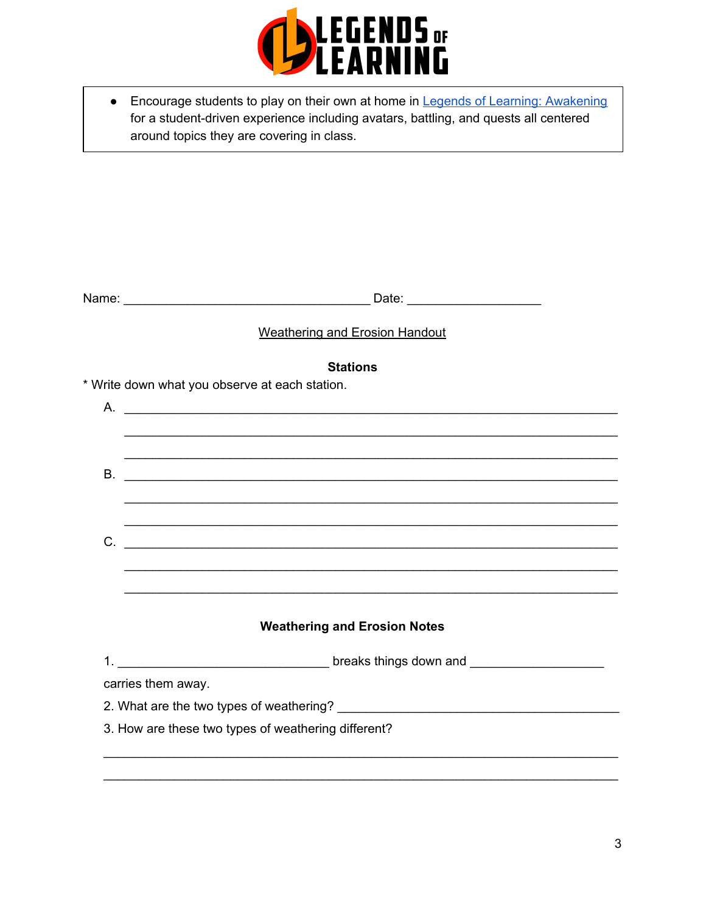

• Encourage students to play on their own at home in Legends of Learning: Awakening for a student-driven experience including avatars, battling, and quests all centered around topics they are covering in class.

| Name: | ⊃ate: |  |
|-------|-------|--|
|-------|-------|--|

## **Weathering and Erosion Handout**

#### **Stations**

\* Write down what you observe at each station.

| $\mathsf{A}$ . |                                                     |
|----------------|-----------------------------------------------------|
|                |                                                     |
|                |                                                     |
| <b>B.</b>      |                                                     |
|                |                                                     |
|                |                                                     |
| C.             |                                                     |
|                |                                                     |
|                |                                                     |
|                |                                                     |
|                | <b>Weathering and Erosion Notes</b>                 |
|                |                                                     |
|                | carries them away.                                  |
|                |                                                     |
|                | 3. How are these two types of weathering different? |
|                |                                                     |
|                |                                                     |